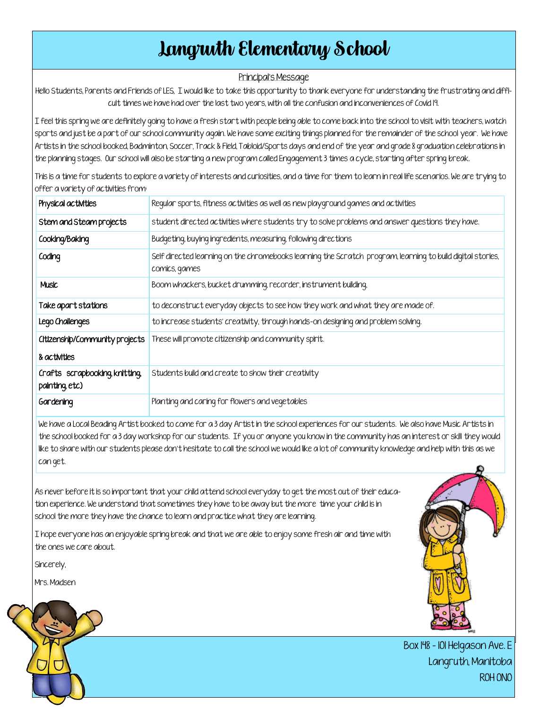## **Languith Elementary School**

## Principal's Message

Hello Students, Parents and Friends of LES, I would like to take this opportunity to thank everyone for understanding the frustrating and difficult times we have had over the last two years, with all the confusion and inconveniences of Covid 19.

I feel this spring we are definitely going to have a fresh start with people being able to come back into the school to visit with teachers, watch sports and just be a part of our school community again. We have some exciting things planned for the remainder of the school year. We have Artists in the school booked, Badminton, Soccer, Track & Field, Tabloid/Sports days and end of the year and grade 8 graduation celebrations in the planning stages. Our school will also be starting a new program called Engagement 3 times a cycle, starting after spring break.

This is a time for students to explore a variety of interests and curiosities, and a time for them to learn in real life scenarios. We are trying to offer a variety of activities from:

| Physical activities                             | Regular sports, fitness activities as well as new playground games and activities                                           |
|-------------------------------------------------|-----------------------------------------------------------------------------------------------------------------------------|
| Stem and Steam projects                         | student directed activities where students try to solve problems and answer questions they have.                            |
| Cooking/Baking                                  | Budgeting, buying ingredients, measuring, following directions                                                              |
| Coding                                          | Self directed learning on the chromebooks learning the Scratch program, learning to build digital stories,<br>comics, games |
| <b>Music</b>                                    | Boom whackers, bucket drumming, recorder, instrument building,                                                              |
| Take apart stations                             | to deconstruct everyday objects to see how they work and what they are made of.                                             |
| Lego Challenges                                 | to increase students' creativity, through hands-on designing and problem solving.                                           |
| Citizenship/Community projects<br>& activities  | These will promote citizenship and community spirit.                                                                        |
| Crafts scrapbooking, knitting,<br>painting etc) | Students build and create to show their creativity                                                                          |
| Gardening                                       | Planting and caring for flowers and vegetables                                                                              |

We have a Local Beading Artist booked to come for a 3 day Artist in the school experiences for our students. We also have Music Artists in the school booked for a 3 day workshop for our students. If you or anyone you know in the community has an interest or skill they would like to share with our students please don't hesitate to call the school we would like a lot of community knowledge and help with this as we can get.

As never before it is so important that your child attend school everyday to get the most out of their education experience. We understand that sometimes they have to be away but the more time your child is in school the more they have the chance to learn and practice what they are learning.

I hope everyone has an enjoyable spring break and that we are able to enjoy some fresh air and time with the ones we care about.

Sincerely,

Mrs. Madsen



Box 148 - 101 Helgason Ave. E Langruth, Manitoba R0H 0N0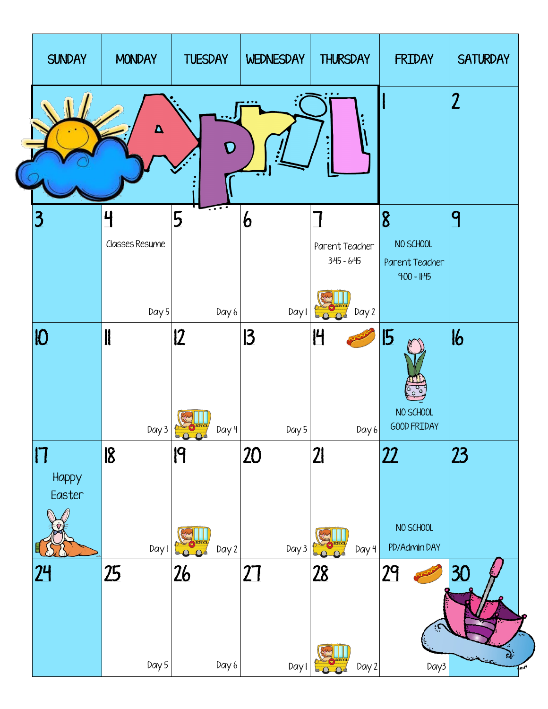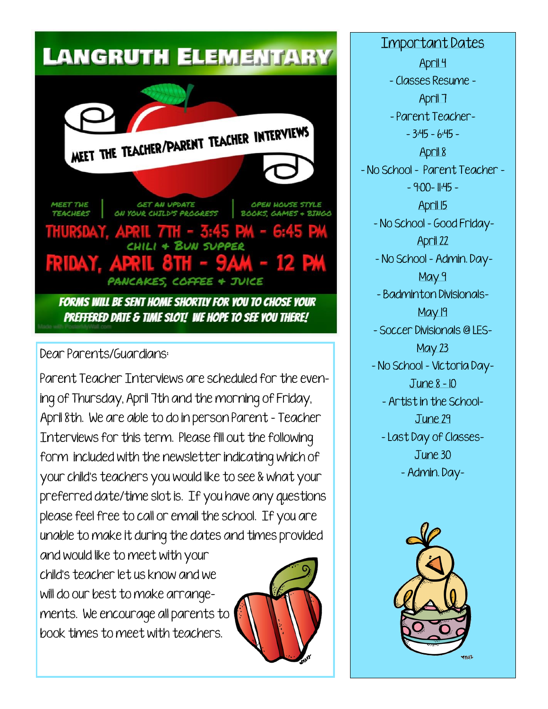

Dear Parents/Guardians:

Parent Teacher Interviews are scheduled for the evening of Thursday, April 7th and the morning of Friday, April 8th. We are able to do in person Parent - Teacher Interviews for this term. Please fill out the following form included with the newsletter indicating which of your child's teachers you would like to see & what your preferred date/time slot is. If you have any questions please feel free to call or email the school. If you are unable to make it during the dates and times provided and would like to meet with your

child's teacher let us know and we will do our best to make arrangements. We encourage all parents to book times to meet with teachers.



Important Dates April 4 - Classes Resume - April 7 - Parent Teacher- - 3:45 - 6:45 - April 8 - No School - Parent Teacher -  $-9:00-11:45-$ April 15 - No School - Good Friday-April 22 - No School - Admin. Day-May 9 - Badminton Divisionals-May 19 - Soccer Divisionals @ LES-May 23 - No School - Victoria Day-June 8 - 10 - Artist in the School-June 29 - Last Day of Classes-June 30 - Admin. Day-